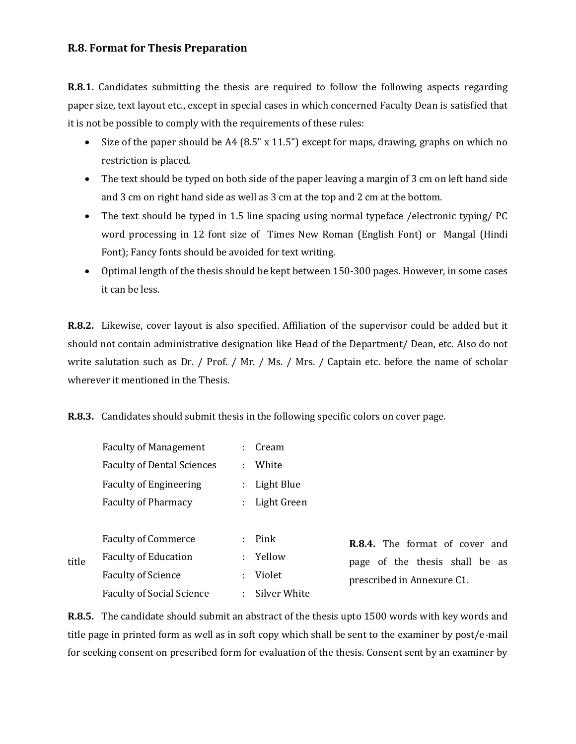## **R.8. Format for Thesis Preparation**

**R.8.1.** Candidates submitting the thesis are required to follow the following aspects regarding paper size, text layout etc., except in special cases in which concerned Faculty Dean is satisfied that it is not be possible to comply with the requirements of these rules:

- Size of the paper should be A4 (8.5" x 11.5") except for maps, drawing, graphs on which no restriction is placed.
- The text should be typed on both side of the paper leaving a margin of 3 cm on left hand side and 3 cm on right hand side as well as 3 cm at the top and 2 cm at the bottom.
- The text should be typed in 1.5 line spacing using normal typeface /electronic typing/ PC word processing in 12 font size of Times New Roman (English Font) or Mangal (Hindi Font); Fancy fonts should be avoided for text writing.
- Optimal length of the thesis should be kept between 150-300 pages. However, in some cases it can be less.

**R.8.2.** Likewise, cover layout is also specified. Affiliation of the supervisor could be added but it should not contain administrative designation like Head of the Department/ Dean, etc. Also do not write salutation such as Dr. / Prof. / Mr. / Ms. / Mrs. / Captain etc. before the name of scholar wherever it mentioned in the Thesis.

**R.8.3.** Candidates should submit thesis in the following specific colors on cover page.

Faculty of Management : Cream

|       | <b>Faculty of Dental Sciences</b> | ÷             | White        |                                                                                                |
|-------|-----------------------------------|---------------|--------------|------------------------------------------------------------------------------------------------|
|       | <b>Faculty of Engineering</b>     | ÷.            | Light Blue   |                                                                                                |
|       | <b>Faculty of Pharmacy</b>        | $\mathcal{L}$ | Light Green  |                                                                                                |
|       |                                   |               |              |                                                                                                |
| title | <b>Faculty of Commerce</b>        |               | $:$ Pink     | R.8.4. The format of cover and<br>page of the thesis shall be as<br>prescribed in Annexure C1. |
|       | <b>Faculty of Education</b>       |               | : Yellow     |                                                                                                |
|       | <b>Faculty of Science</b>         | ÷             | Violet       |                                                                                                |
|       | <b>Faculty of Social Science</b>  | ÷             | Silver White |                                                                                                |

**R.8.5.** The candidate should submit an abstract of the thesis upto 1500 words with key words and title page in printed form as well as in soft copy which shall be sent to the examiner by post/e-mail for seeking consent on prescribed form for evaluation of the thesis. Consent sent by an examiner by